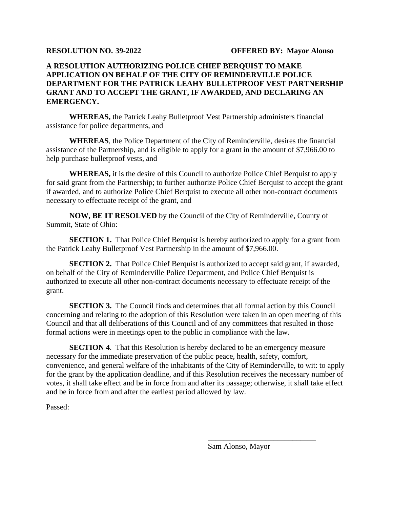## **A RESOLUTION AUTHORIZING POLICE CHIEF BERQUIST TO MAKE APPLICATION ON BEHALF OF THE CITY OF REMINDERVILLE POLICE DEPARTMENT FOR THE PATRICK LEAHY BULLETPROOF VEST PARTNERSHIP GRANT AND TO ACCEPT THE GRANT, IF AWARDED, AND DECLARING AN EMERGENCY.**

**WHEREAS,** the Patrick Leahy Bulletproof Vest Partnership administers financial assistance for police departments, and

**WHEREAS**, the Police Department of the City of Reminderville, desires the financial assistance of the Partnership, and is eligible to apply for a grant in the amount of \$7,966.00 to help purchase bulletproof vests, and

**WHEREAS,** it is the desire of this Council to authorize Police Chief Berquist to apply for said grant from the Partnership; to further authorize Police Chief Berquist to accept the grant if awarded, and to authorize Police Chief Berquist to execute all other non-contract documents necessary to effectuate receipt of the grant, and

**NOW, BE IT RESOLVED** by the Council of the City of Reminderville, County of Summit, State of Ohio:

**SECTION 1.** That Police Chief Berquist is hereby authorized to apply for a grant from the Patrick Leahy Bulletproof Vest Partnership in the amount of \$7,966.00.

**SECTION 2.** That Police Chief Berquist is authorized to accept said grant, if awarded, on behalf of the City of Reminderville Police Department, and Police Chief Berquist is authorized to execute all other non-contract documents necessary to effectuate receipt of the grant.

**SECTION 3.** The Council finds and determines that all formal action by this Council concerning and relating to the adoption of this Resolution were taken in an open meeting of this Council and that all deliberations of this Council and of any committees that resulted in those formal actions were in meetings open to the public in compliance with the law.

**SECTION 4**. That this Resolution is hereby declared to be an emergency measure necessary for the immediate preservation of the public peace, health, safety, comfort, convenience, and general welfare of the inhabitants of the City of Reminderville, to wit: to apply for the grant by the application deadline, and if this Resolution receives the necessary number of votes, it shall take effect and be in force from and after its passage; otherwise, it shall take effect and be in force from and after the earliest period allowed by law.

Passed:

Sam Alonso, Mayor

\_\_\_\_\_\_\_\_\_\_\_\_\_\_\_\_\_\_\_\_\_\_\_\_\_\_\_\_